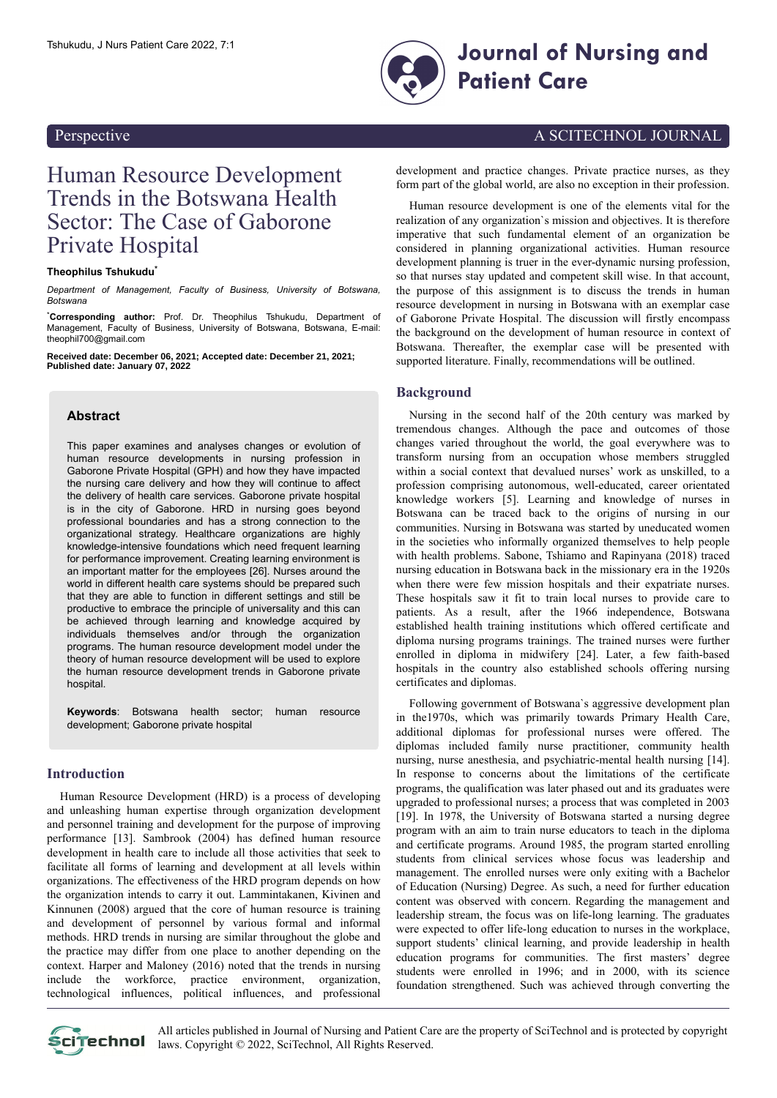

# Human Resource Development Trends in the Botswana Health Sector: The Case of Gaborone Private Hospital

# **Theophilus Tshukudu\***

*Department of Management, Faculty of Business, University of Botswana, Botswana*

\***Corresponding author:** Prof. Dr. Theophilus Tshukudu, Department of Management, Faculty of Business, University of Botswana, Botswana, E-mail: theophil700@gmail.com

**Received date: December 06, 2021; Accepted date: December 21, 2021; Published date: January 07, 2022**

#### **Abstract**

This paper examines and analyses changes or evolution of human resource developments in nursing profession in Gaborone Private Hospital (GPH) and how they have impacted the nursing care delivery and how they will continue to affect the delivery of health care services. Gaborone private hospital is in the city of Gaborone. HRD in nursing goes beyond professional boundaries and has a strong connection to the organizational strategy. Healthcare organizations are highly knowledge-intensive foundations which need frequent learning for performance improvement. Creating learning environment is an important matter for the employees [26]. Nurses around the world in different health care systems should be prepared such that they are able to function in different settings and still be productive to embrace the principle of universality and this can be achieved through learning and knowledge acquired by individuals themselves and/or through the organization programs. The human resource development model under the theory of human resource development will be used to explore the human resource development trends in Gaborone private hospital

**Keywords**: Botswana health sector; human resource development; Gaborone private hospital

### **Introduction**

Human Resource Development (HRD) is a process of developing and unleashing human expertise through organization development and personnel training and development for the purpose of improving performance [13]. Sambrook (2004) has defined human resource development in health care to include all those activities that seek to facilitate all forms of learning and development at all levels within organizations. The effectiveness of the HRD program depends on how the organization intends to carry it out. Lammintakanen, Kivinen and Kinnunen (2008) argued that the core of human resource is training and development of personnel by various formal and informal methods. HRD trends in nursing are similar throughout the globe and the practice may differ from one place to another depending on the context. Harper and Maloney (2016) noted that the trends in nursing include the workforce, practice environment, organization, technological influences, political influences, and professional

# Perspective A SCITECHNOL JOURNAL

development and practice changes. Private practice nurses, as they form part of the global world, are also no exception in their profession.

Human resource development is one of the elements vital for the realization of any organization`s mission and objectives. It is therefore imperative that such fundamental element of an organization be considered in planning organizational activities. Human resource development planning is truer in the ever-dynamic nursing profession, so that nurses stay updated and competent skill wise. In that account, the purpose of this assignment is to discuss the trends in human resource development in nursing in Botswana with an exemplar case of Gaborone Private Hospital. The discussion will firstly encompass the background on the development of human resource in context of Botswana. Thereafter, the exemplar case will be presented with supported literature. Finally, recommendations will be outlined.

### **Background**

Nursing in the second half of the 20th century was marked by tremendous changes. Although the pace and outcomes of those changes varied throughout the world, the goal everywhere was to transform nursing from an occupation whose members struggled within a social context that devalued nurses' work as unskilled, to a profession comprising autonomous, well-educated, career orientated knowledge workers [5]. Learning and knowledge of nurses in Botswana can be traced back to the origins of nursing in our communities. Nursing in Botswana was started by uneducated women in the societies who informally organized themselves to help people with health problems. Sabone, Tshiamo and Rapinyana (2018) traced nursing education in Botswana back in the missionary era in the 1920s when there were few mission hospitals and their expatriate nurses. These hospitals saw it fit to train local nurses to provide care to patients. As a result, after the 1966 independence, Botswana established health training institutions which offered certificate and diploma nursing programs trainings. The trained nurses were further enrolled in diploma in midwifery [24]. Later, a few faith-based hospitals in the country also established schools offering nursing certificates and diplomas.

Following government of Botswana`s aggressive development plan in the1970s, which was primarily towards Primary Health Care, additional diplomas for professional nurses were offered. The diplomas included family nurse practitioner, community health nursing, nurse anesthesia, and psychiatric-mental health nursing [14]. In response to concerns about the limitations of the certificate programs, the qualification was later phased out and its graduates were upgraded to professional nurses; a process that was completed in 2003 [19]. In 1978, the University of Botswana started a nursing degree program with an aim to train nurse educators to teach in the diploma and certificate programs. Around 1985, the program started enrolling students from clinical services whose focus was leadership and management. The enrolled nurses were only exiting with a Bachelor of Education (Nursing) Degree. As such, a need for further education content was observed with concern. Regarding the management and leadership stream, the focus was on life-long learning. The graduates were expected to offer life-long education to nurses in the workplace, support students' clinical learning, and provide leadership in health education programs for communities. The first masters' degree students were enrolled in 1996; and in 2000, with its science foundation strengthened. Such was achieved through converting the

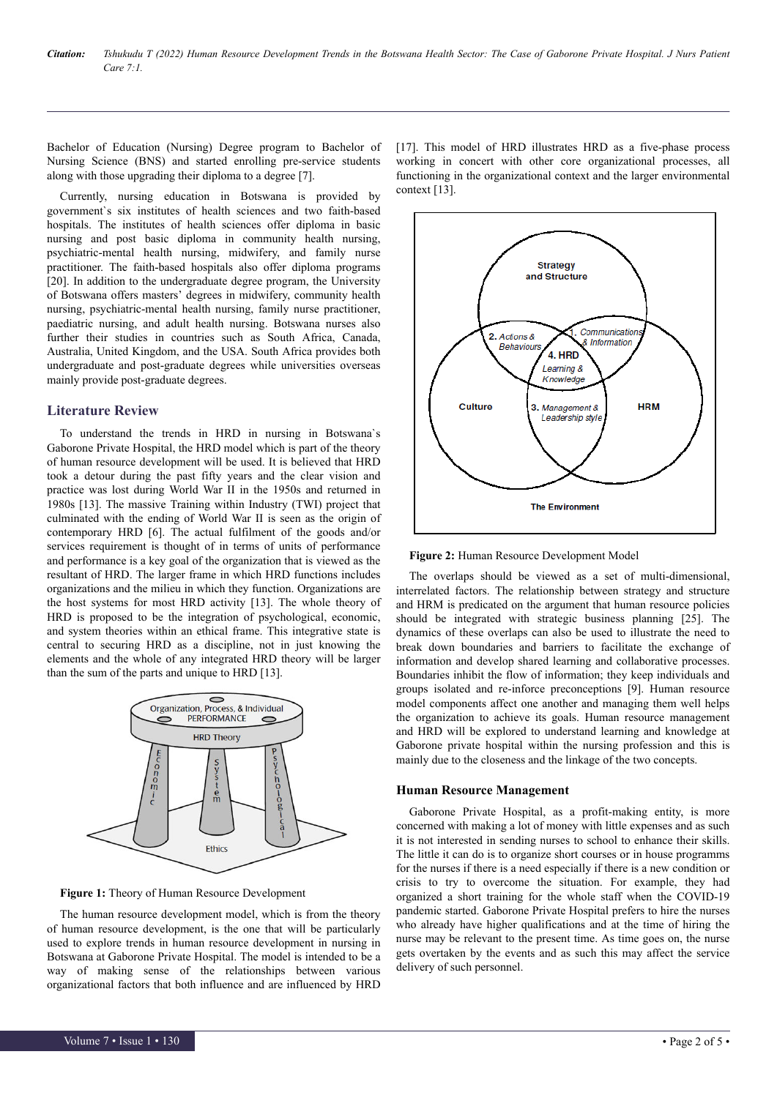Bachelor of Education (Nursing) Degree program to Bachelor of Nursing Science (BNS) and started enrolling pre-service students along with those upgrading their diploma to a degree [7].

Currently, nursing education in Botswana is provided by government`s six institutes of health sciences and two faith-based hospitals. The institutes of health sciences offer diploma in basic nursing and post basic diploma in community health nursing, psychiatric-mental health nursing, midwifery, and family nurse practitioner. The faith-based hospitals also offer diploma programs [20]. In addition to the undergraduate degree program, the University of Botswana offers masters' degrees in midwifery, community health nursing, psychiatric-mental health nursing, family nurse practitioner, paediatric nursing, and adult health nursing. Botswana nurses also further their studies in countries such as South Africa, Canada, Australia, United Kingdom, and the USA. South Africa provides both undergraduate and post-graduate degrees while universities overseas mainly provide post-graduate degrees.

#### **Literature Review**

To understand the trends in HRD in nursing in Botswana`s Gaborone Private Hospital, the HRD model which is part of the theory of human resource development will be used. It is believed that HRD took a detour during the past fifty years and the clear vision and practice was lost during World War II in the 1950s and returned in 1980s [13]. The massive Training within Industry (TWI) project that culminated with the ending of World War II is seen as the origin of contemporary HRD [6]. The actual fulfilment of the goods and/or services requirement is thought of in terms of units of performance and performance is a key goal of the organization that is viewed as the resultant of HRD. The larger frame in which HRD functions includes organizations and the milieu in which they function. Organizations are the host systems for most HRD activity [13]. The whole theory of HRD is proposed to be the integration of psychological, economic, and system theories within an ethical frame. This integrative state is central to securing HRD as a discipline, not in just knowing the elements and the whole of any integrated HRD theory will be larger than the sum of the parts and unique to HRD [13].



**Figure 1:** Theory of Human Resource Development

The human resource development model, which is from the theory of human resource development, is the one that will be particularly used to explore trends in human resource development in nursing in Botswana at Gaborone Private Hospital. The model is intended to be a way of making sense of the relationships between various organizational factors that both influence and are influenced by HRD

[17]. This model of HRD illustrates HRD as a five-phase process working in concert with other core organizational processes, all functioning in the organizational context and the larger environmental context [13].



**Figure 2:** Human Resource Development Model

The overlaps should be viewed as a set of multi-dimensional, interrelated factors. The relationship between strategy and structure and HRM is predicated on the argument that human resource policies should be integrated with strategic business planning [25]. The dynamics of these overlaps can also be used to illustrate the need to break down boundaries and barriers to facilitate the exchange of information and develop shared learning and collaborative processes. Boundaries inhibit the flow of information; they keep individuals and groups isolated and re-inforce preconceptions [9]. Human resource model components affect one another and managing them well helps the organization to achieve its goals. Human resource management and HRD will be explored to understand learning and knowledge at Gaborone private hospital within the nursing profession and this is mainly due to the closeness and the linkage of the two concepts.

#### **Human Resource Management**

Gaborone Private Hospital, as a profit-making entity, is more concerned with making a lot of money with little expenses and as such it is not interested in sending nurses to school to enhance their skills. The little it can do is to organize short courses or in house programms for the nurses if there is a need especially if there is a new condition or crisis to try to overcome the situation. For example, they had organized a short training for the whole staff when the COVID-19 pandemic started. Gaborone Private Hospital prefers to hire the nurses who already have higher qualifications and at the time of hiring the nurse may be relevant to the present time. As time goes on, the nurse gets overtaken by the events and as such this may affect the service delivery of such personnel.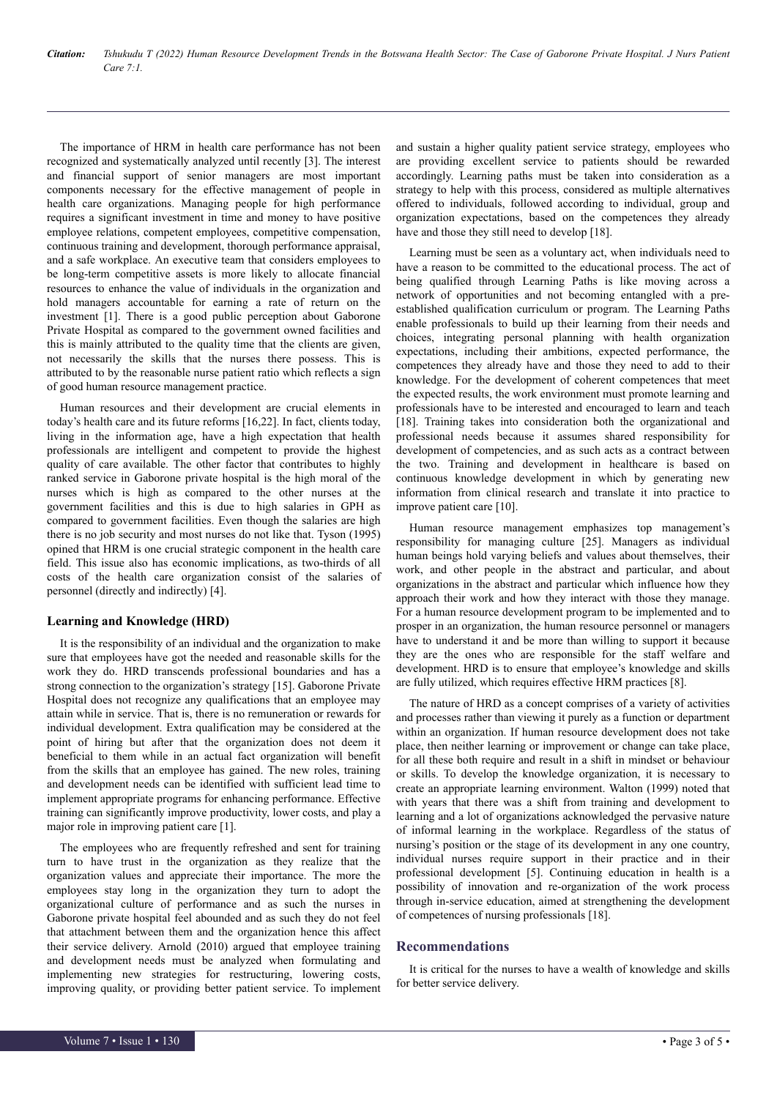The importance of HRM in health care performance has not been recognized and systematically analyzed until recently [3]. The interest and financial support of senior managers are most important components necessary for the effective management of people in health care organizations. Managing people for high performance requires a significant investment in time and money to have positive employee relations, competent employees, competitive compensation, continuous training and development, thorough performance appraisal, and a safe workplace. An executive team that considers employees to be long-term competitive assets is more likely to allocate financial resources to enhance the value of individuals in the organization and hold managers accountable for earning a rate of return on the investment [1]. There is a good public perception about Gaborone Private Hospital as compared to the government owned facilities and this is mainly attributed to the quality time that the clients are given, not necessarily the skills that the nurses there possess. This is attributed to by the reasonable nurse patient ratio which reflects a sign of good human resource management practice.

Human resources and their development are crucial elements in today's health care and its future reforms [16,22]. In fact, clients today, living in the information age, have a high expectation that health professionals are intelligent and competent to provide the highest quality of care available. The other factor that contributes to highly ranked service in Gaborone private hospital is the high moral of the nurses which is high as compared to the other nurses at the government facilities and this is due to high salaries in GPH as compared to government facilities. Even though the salaries are high there is no job security and most nurses do not like that. Tyson (1995) opined that HRM is one crucial strategic component in the health care field. This issue also has economic implications, as two-thirds of all costs of the health care organization consist of the salaries of personnel (directly and indirectly) [4].

# **Learning and Knowledge (HRD)**

It is the responsibility of an individual and the organization to make sure that employees have got the needed and reasonable skills for the work they do. HRD transcends professional boundaries and has a strong connection to the organization's strategy [15]. Gaborone Private Hospital does not recognize any qualifications that an employee may attain while in service. That is, there is no remuneration or rewards for individual development. Extra qualification may be considered at the point of hiring but after that the organization does not deem it beneficial to them while in an actual fact organization will benefit from the skills that an employee has gained. The new roles, training and development needs can be identified with sufficient lead time to implement appropriate programs for enhancing performance. Effective training can significantly improve productivity, lower costs, and play a major role in improving patient care [1].

The employees who are frequently refreshed and sent for training turn to have trust in the organization as they realize that the organization values and appreciate their importance. The more the employees stay long in the organization they turn to adopt the organizational culture of performance and as such the nurses in Gaborone private hospital feel abounded and as such they do not feel that attachment between them and the organization hence this affect their service delivery. Arnold (2010) argued that employee training and development needs must be analyzed when formulating and implementing new strategies for restructuring, lowering costs, improving quality, or providing better patient service. To implement

and sustain a higher quality patient service strategy, employees who are providing excellent service to patients should be rewarded accordingly. Learning paths must be taken into consideration as a strategy to help with this process, considered as multiple alternatives offered to individuals, followed according to individual, group and organization expectations, based on the competences they already have and those they still need to develop [18].

Learning must be seen as a voluntary act, when individuals need to have a reason to be committed to the educational process. The act of being qualified through Learning Paths is like moving across a network of opportunities and not becoming entangled with a preestablished qualification curriculum or program. The Learning Paths enable professionals to build up their learning from their needs and choices, integrating personal planning with health organization expectations, including their ambitions, expected performance, the competences they already have and those they need to add to their knowledge. For the development of coherent competences that meet the expected results, the work environment must promote learning and professionals have to be interested and encouraged to learn and teach [18]. Training takes into consideration both the organizational and professional needs because it assumes shared responsibility for development of competencies, and as such acts as a contract between the two. Training and development in healthcare is based on continuous knowledge development in which by generating new information from clinical research and translate it into practice to improve patient care [10].

Human resource management emphasizes top management's responsibility for managing culture [25]. Managers as individual human beings hold varying beliefs and values about themselves, their work, and other people in the abstract and particular, and about organizations in the abstract and particular which influence how they approach their work and how they interact with those they manage. For a human resource development program to be implemented and to prosper in an organization, the human resource personnel or managers have to understand it and be more than willing to support it because they are the ones who are responsible for the staff welfare and development. HRD is to ensure that employee's knowledge and skills are fully utilized, which requires effective HRM practices [8].

The nature of HRD as a concept comprises of a variety of activities and processes rather than viewing it purely as a function or department within an organization. If human resource development does not take place, then neither learning or improvement or change can take place, for all these both require and result in a shift in mindset or behaviour or skills. To develop the knowledge organization, it is necessary to create an appropriate learning environment. Walton (1999) noted that with years that there was a shift from training and development to learning and a lot of organizations acknowledged the pervasive nature of informal learning in the workplace. Regardless of the status of nursing's position or the stage of its development in any one country, individual nurses require support in their practice and in their professional development [5]. Continuing education in health is a possibility of innovation and re-organization of the work process through in-service education, aimed at strengthening the development of competences of nursing professionals [18].

# **Recommendations**

It is critical for the nurses to have a wealth of knowledge and skills for better service delivery.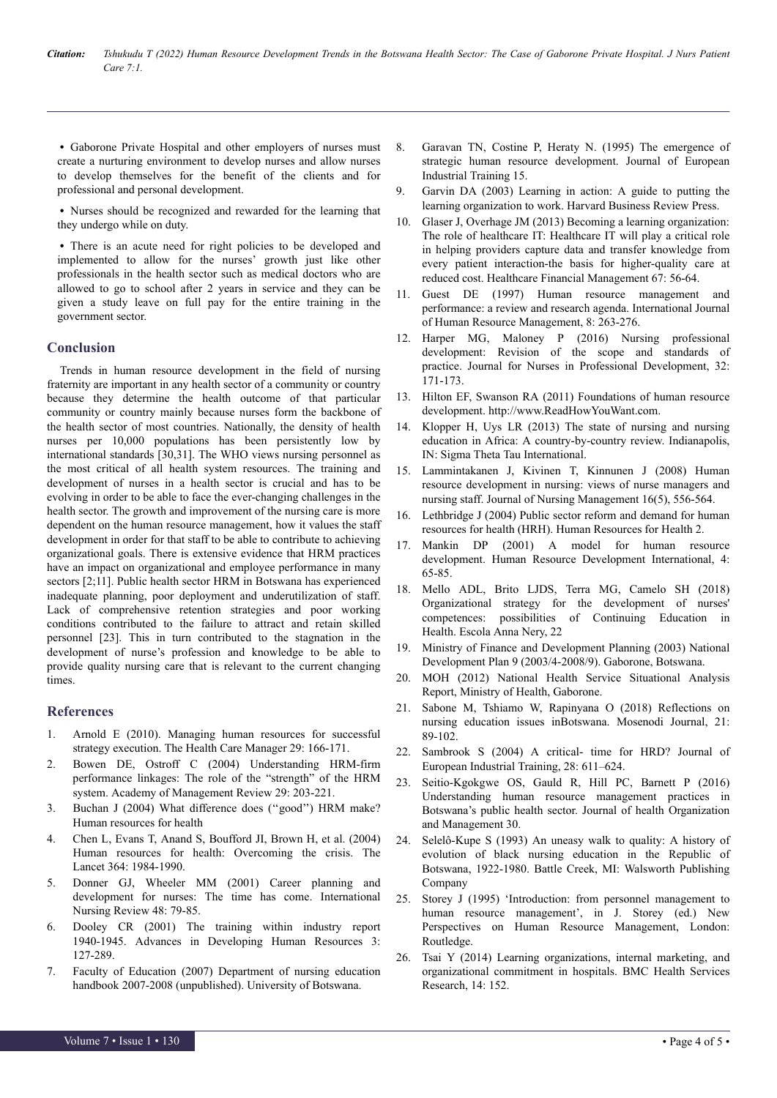**•** Gaborone Private Hospital and other employers of nurses must create a nurturing environment to develop nurses and allow nurses to develop themselves for the benefit of the clients and for professional and personal development.

**•** Nurses should be recognized and rewarded for the learning that they undergo while on duty.

**•** There is an acute need for right policies to be developed and implemented to allow for the nurses' growth just like other professionals in the health sector such as medical doctors who are allowed to go to school after 2 years in service and they can be given a study leave on full pay for the entire training in the government sector.

### **Conclusion**

Trends in human resource development in the field of nursing fraternity are important in any health sector of a community or country because they determine the health outcome of that particular community or country mainly because nurses form the backbone of the health sector of most countries. Nationally, the density of health nurses per 10,000 populations has been persistently low by international standards [30,31]. The WHO views nursing personnel as the most critical of all health system resources. The training and development of nurses in a health sector is crucial and has to be evolving in order to be able to face the ever-changing challenges in the health sector. The growth and improvement of the nursing care is more dependent on the human resource management, how it values the staff development in order for that staff to be able to contribute to achieving organizational goals. There is extensive evidence that HRM practices have an impact on organizational and employee performance in many sectors [2;11]. Public health sector HRM in Botswana has experienced inadequate planning, poor deployment and underutilization of staff. Lack of comprehensive retention strategies and poor working conditions contributed to the failure to attract and retain skilled personnel [23]. This in turn contributed to the stagnation in the development of nurse's profession and knowledge to be able to provide quality nursing care that is relevant to the current changing times.

#### **References**

- 1. Arnold E (2010). Managing human resources for successful strategy execution. The Health Care Manager 29: 166-171.
- 2. [Bowen DE, Ostroff C \(2004\) Understanding HRM-firm](https://asu.pure.elsevier.com/en/publications/understanding-hrm-firm-performance-linkages-the-role-of-the-stren) [performance linkages: The role of the "strength" of the HRM](https://asu.pure.elsevier.com/en/publications/understanding-hrm-firm-performance-linkages-the-role-of-the-stren) [system. Academy of Management Review 29: 203-221.](https://asu.pure.elsevier.com/en/publications/understanding-hrm-firm-performance-linkages-the-role-of-the-stren)
- 3. [Buchan J \(2004\) What difference does \(''good''\) HRM make?](https://www.semanticscholar.org/paper/What-difference-does-(%22good%22)-HRM-make-Buchan/5fe0789a3b751e70bb5667a38900e77a2cac61bf) [Human resources for health](https://www.semanticscholar.org/paper/What-difference-does-(%22good%22)-HRM-make-Buchan/5fe0789a3b751e70bb5667a38900e77a2cac61bf)
- 4. [Chen L, Evans T, Anand S, Boufford JI, Brown H, et al. \(2004\)](https://www.thelancet.com/journals/lancet/article/PIIS0140673604174825/fulltext) [Human resources for health: Overcoming the crisis. The](https://www.thelancet.com/journals/lancet/article/PIIS0140673604174825/fulltext) [Lancet 364: 1984-1990.](https://www.thelancet.com/journals/lancet/article/PIIS0140673604174825/fulltext)
- 5. [Donner GJ, Wheeler MM \(2001\) Career planning and](http://www.xuebalib.com/cloud/literature-169zORFjD3yZ.html) [development for nurses: The time has come. International](http://www.xuebalib.com/cloud/literature-169zORFjD3yZ.html) [Nursing Review 48: 79-85.](http://www.xuebalib.com/cloud/literature-169zORFjD3yZ.html)
- 6. [Dooley CR \(2001\) The training within industry report](https://journals.sagepub.com/doi/abs/10.1177/15234220122238283?journalCode=adha) [1940-1945. Advances in Developing Human Resources 3:](https://journals.sagepub.com/doi/abs/10.1177/15234220122238283?journalCode=adha) [127-289.](https://journals.sagepub.com/doi/abs/10.1177/15234220122238283?journalCode=adha)
- 7. Faculty of Education (2007) Department of nursing education handbook 2007-2008 (unpublished). University of Botswana.
- 8. [Garavan TN, Costine P, Heraty N. \(1995\) The emergence of](https://www.emerald.com/insight/content/doi/10.1108/EUM0000000000219/full/html?skipTracking=true) [strategic human resource development. Journal of European](https://www.emerald.com/insight/content/doi/10.1108/EUM0000000000219/full/html?skipTracking=true) [Industrial Training 15.](https://www.emerald.com/insight/content/doi/10.1108/EUM0000000000219/full/html?skipTracking=true)
- 9. [Garvin DA \(2003\) Learning in action: A guide to putting the](https://www.hbs.edu/faculty/Pages/item.aspx?num=4882) [learning organization to work. Harvard Business Review Press.](https://www.hbs.edu/faculty/Pages/item.aspx?num=4882)
- 10. [Glaser J, Overhage JM \(2013\) Becoming a learning organization:](https://go.gale.com/ps/i.do?id=GALE%7CA322025832&sid=googleScholar&v=2.1&it=r&linkaccess=abs&issn=07350732&p=AONE&sw=w&userGroupName=anon%7Ed85d6593) [The role of healthcare IT: Healthcare IT will play a critical role](https://go.gale.com/ps/i.do?id=GALE%7CA322025832&sid=googleScholar&v=2.1&it=r&linkaccess=abs&issn=07350732&p=AONE&sw=w&userGroupName=anon%7Ed85d6593) [in helping providers capture data and transfer knowledge from](https://go.gale.com/ps/i.do?id=GALE%7CA322025832&sid=googleScholar&v=2.1&it=r&linkaccess=abs&issn=07350732&p=AONE&sw=w&userGroupName=anon%7Ed85d6593) [every patient interaction-the basis for higher-quality care at](https://go.gale.com/ps/i.do?id=GALE%7CA322025832&sid=googleScholar&v=2.1&it=r&linkaccess=abs&issn=07350732&p=AONE&sw=w&userGroupName=anon%7Ed85d6593) [reduced cost. Healthcare Financial Management 67: 56-64.](https://go.gale.com/ps/i.do?id=GALE%7CA322025832&sid=googleScholar&v=2.1&it=r&linkaccess=abs&issn=07350732&p=AONE&sw=w&userGroupName=anon%7Ed85d6593)
- 11. [Guest DE \(1997\) Human resource management and](https://www.tandfonline.com/doi/abs/10.1080/095851997341630) [performance: a review and research agenda. International Journal](https://www.tandfonline.com/doi/abs/10.1080/095851997341630) [of Human Resource Management, 8: 263-276.](https://www.tandfonline.com/doi/abs/10.1080/095851997341630)
- 12. [Harper MG, Maloney P \(2016\) Nursing professional](https://www.nursingcenter.com/journalarticle?Article_ID=3504073&Journal_ID=54029&Issue_ID=3503727) [development: Revision of the scope and standards of](https://www.nursingcenter.com/journalarticle?Article_ID=3504073&Journal_ID=54029&Issue_ID=3503727) [practice. Journal for Nurses in Professional Development, 32:](https://www.nursingcenter.com/journalarticle?Article_ID=3504073&Journal_ID=54029&Issue_ID=3503727) [171-173.](https://www.nursingcenter.com/journalarticle?Article_ID=3504073&Journal_ID=54029&Issue_ID=3503727)
- 13. Hilton EF, Swanson RA (2011) Foundations of human resource development.<http://www.ReadHowYouWant.com>.
- 14. [Klopper H, Uys LR \(2013\) The state of nursing and nursing](https://www.worldcat.org/title/state-of-nursing-and-nursing-education-in-africa-a-country-by-country-review/oclc/849513850) [education in Africa: A country-by-country review. Indianapolis,](https://www.worldcat.org/title/state-of-nursing-and-nursing-education-in-africa-a-country-by-country-review/oclc/849513850) [IN: Sigma Theta Tau International.](https://www.worldcat.org/title/state-of-nursing-and-nursing-education-in-africa-a-country-by-country-review/oclc/849513850)
- 15. [Lammintakanen J, Kivinen T, Kinnunen J \(2008\) Human](https://mbahrd2010.files.wordpress.com/2010/08/2-hrd-in-nursing.pdf) [resource development in nursing: views of nurse managers and](https://mbahrd2010.files.wordpress.com/2010/08/2-hrd-in-nursing.pdf) [nursing staff. Journal of Nursing Management 16\(5\), 556-564.](https://mbahrd2010.files.wordpress.com/2010/08/2-hrd-in-nursing.pdf)
- 16. [Lethbridge J \(2004\) Public sector reform and demand for human](https://www.hrhresourcecenter.org/node/281.html) [resources for health \(HRH\). Human Resources for Health 2.](https://www.hrhresourcecenter.org/node/281.html)
- 17. [Mankin DP \(2001\) A model for human resource](https://www.tandfonline.com/doi/abs/10.1080/13678860121714?journalCode=rhrd20) [development. Human Resource Development International, 4:](https://www.tandfonline.com/doi/abs/10.1080/13678860121714?journalCode=rhrd20) [65-85.](https://www.tandfonline.com/doi/abs/10.1080/13678860121714?journalCode=rhrd20)
- 18. [Mello ADL, Brito LJDS, Terra MG, Camelo SH \(2018\)](https://www.scielo.br/j/ean/a/x9CZqW6Yxd4WWNzzDnsrQHh/?lang=en) [Organizational strategy for the development of nurses'](https://www.scielo.br/j/ean/a/x9CZqW6Yxd4WWNzzDnsrQHh/?lang=en) [competences: possibilities of Continuing Education in](https://www.scielo.br/j/ean/a/x9CZqW6Yxd4WWNzzDnsrQHh/?lang=en) [Health. Escola Anna Nery, 22](https://www.scielo.br/j/ean/a/x9CZqW6Yxd4WWNzzDnsrQHh/?lang=en)
- 19. Ministry of Finance and Development Planning (2003) National Development Plan 9 (2003/4-2008/9). Gaborone, Botswana.
- 20. MOH (2012) National Health Service Situational Analysis Report, Ministry of Health, Gaborone.
- 21. [Sabone M, Tshiamo W, Rapinyana O \(2018\) Reflections on](https://journals.ub.bw/index.php/mosenodi/article/view/1468) [nursing education issues inBotswana. Mosenodi Journal, 21:](https://journals.ub.bw/index.php/mosenodi/article/view/1468) [89-102.](https://journals.ub.bw/index.php/mosenodi/article/view/1468)
- 22. [Sambrook S \(2004\) A critical- time for HRD? Journal of](https://www.deepdyve.com/lp/emerald-publishing/a-critical-time-for-hrd-30DNqe0HhQ) [European Industrial Training, 28: 611–624.](https://www.deepdyve.com/lp/emerald-publishing/a-critical-time-for-hrd-30DNqe0HhQ)
- 23. [Seitio-Kgokgwe OS, Gauld R, Hill PC, Barnett P \(2016\)](https://www.emerald.com/insight/content/doi/10.1108/JHOM-05-2015-0076/full/html) [Understanding human resource management practices in](https://www.emerald.com/insight/content/doi/10.1108/JHOM-05-2015-0076/full/html) [Botswana's public health sector. Journal of health Organization](https://www.emerald.com/insight/content/doi/10.1108/JHOM-05-2015-0076/full/html) [and Management 30.](https://www.emerald.com/insight/content/doi/10.1108/JHOM-05-2015-0076/full/html)
- 24. Selelô-Kupe S (1993) An uneasy walk to quality: A history of evolution of black nursing education in the Republic of Botswana, 1922-1980. Battle Creek, MI: Walsworth Publishing Company
- 25. Storey J (1995) 'Introduction: from personnel management to human resource management', in J. Storey (ed.) New Perspectives on Human Resource Management, London: Routledge.
- 26. Tsai Y (2014) Learning organizations, internal marketing, and organizational commitment in hospitals. BMC Health Services Research, 14: 152.